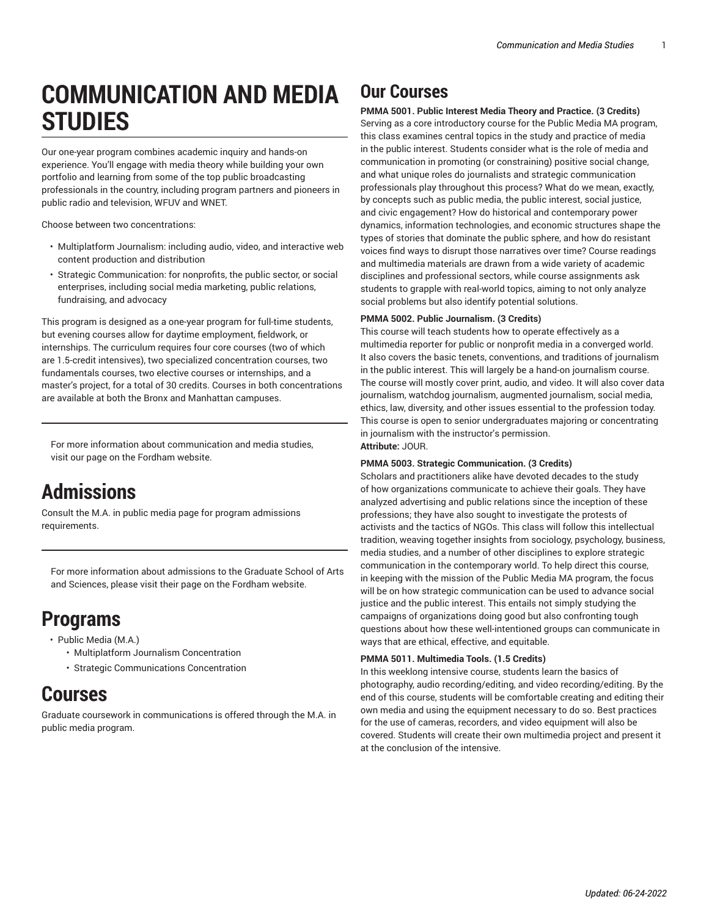# **COMMUNICATION AND MEDIA STUDIES**

Our one-year program combines academic inquiry and hands-on experience. You'll engage with media theory while building your own portfolio and learning from some of the top public broadcasting professionals in the country, including program partners and pioneers in public radio and television, WFUV and WNET.

Choose between two concentrations:

- [Multiplatform Journalism](https://bulletin.fordham.edu/gsas/communication-media-studies/public-media-ma/#concentrationstext): including audio, video, and interactive web content production and distribution
- [Strategic Communication:](https://bulletin.fordham.edu/gsas/communication-media-studies/public-media-ma/#concentrationstext) for nonprofits, the public sector, or social enterprises, including social media marketing, public relations, fundraising, and advocacy

This program is designed as a one-year program for full-time students, but evening courses allow for daytime employment, fieldwork, or internships. The [curriculum](https://bulletin.fordham.edu/gsas/communication-media-studies/public-media-ma/#requirementstext) requires four core courses (two of which are 1.5-credit intensives), two specialized concentration courses, two fundamentals courses, two elective courses or internships, and a master's project, for a total of 30 credits. Courses in both concentrations are available at both the Bronx and Manhattan campuses.

For more information about communication and media studies, visit [our page](https://www.fordham.edu/info/20768/communication_and_media_studies/) on the Fordham website.

# **Admissions**

Consult the [M.A. in public media](https://bulletin.fordham.edu/gsas/communication-media-studies/public-media-ma/#admissionstext) page for program admissions requirements.

For more information about admissions to the Graduate School of Arts and Sciences, please [visit their page](https://www.fordham.edu/info/21270/admissions/) on the Fordham website.

# **Programs**

- [Public Media \(M.A.\)](https://bulletin.fordham.edu/gsas/communication-media-studies/public-media-ma/)
	- [Multiplatform Journalism Concentration](https://bulletin.fordham.edu/gsas/communication-media-studies/public-media-ma/#concentrationstext)
	- [Strategic Communications Concentration](https://bulletin.fordham.edu/gsas/communication-media-studies/public-media-ma/#concentrationstext)

# **Courses**

Graduate coursework in communications is offered through the [M.A. in](https://bulletin.fordham.edu/gsas/communication-media-studies/public-media-ma/) [public media](https://bulletin.fordham.edu/gsas/communication-media-studies/public-media-ma/) program.

# **Our Courses**

**PMMA 5001. Public Interest Media Theory and Practice. (3 Credits)** Serving as a core introductory course for the Public Media MA program, this class examines central topics in the study and practice of media in the public interest. Students consider what is the role of media and communication in promoting (or constraining) positive social change, and what unique roles do journalists and strategic communication professionals play throughout this process? What do we mean, exactly, by concepts such as public media, the public interest, social justice, and civic engagement? How do historical and contemporary power dynamics, information technologies, and economic structures shape the types of stories that dominate the public sphere, and how do resistant voices find ways to disrupt those narratives over time? Course readings and multimedia materials are drawn from a wide variety of academic disciplines and professional sectors, while course assignments ask students to grapple with real-world topics, aiming to not only analyze social problems but also identify potential solutions.

# **PMMA 5002. Public Journalism. (3 Credits)**

This course will teach students how to operate effectively as a multimedia reporter for public or nonprofit media in a converged world. It also covers the basic tenets, conventions, and traditions of journalism in the public interest. This will largely be a hand-on journalism course. The course will mostly cover print, audio, and video. It will also cover data journalism, watchdog journalism, augmented journalism, social media, ethics, law, diversity, and other issues essential to the profession today. This course is open to senior undergraduates majoring or concentrating in journalism with the instructor's permission. **Attribute:** JOUR.

# **PMMA 5003. Strategic Communication. (3 Credits)**

Scholars and practitioners alike have devoted decades to the study of how organizations communicate to achieve their goals. They have analyzed advertising and public relations since the inception of these professions; they have also sought to investigate the protests of activists and the tactics of NGOs. This class will follow this intellectual tradition, weaving together insights from sociology, psychology, business, media studies, and a number of other disciplines to explore strategic communication in the contemporary world. To help direct this course, in keeping with the mission of the Public Media MA program, the focus will be on how strategic communication can be used to advance social justice and the public interest. This entails not simply studying the campaigns of organizations doing good but also confronting tough questions about how these well-intentioned groups can communicate in ways that are ethical, effective, and equitable.

# **PMMA 5011. Multimedia Tools. (1.5 Credits)**

In this weeklong intensive course, students learn the basics of photography, audio recording/editing, and video recording/editing. By the end of this course, students will be comfortable creating and editing their own media and using the equipment necessary to do so. Best practices for the use of cameras, recorders, and video equipment will also be covered. Students will create their own multimedia project and present it at the conclusion of the intensive.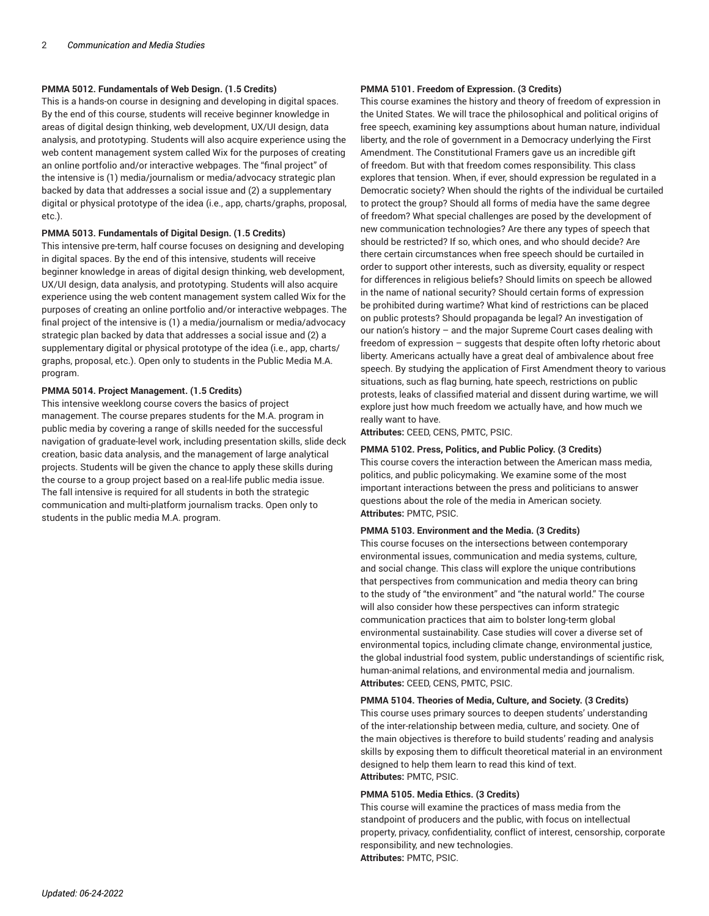# **PMMA 5012. Fundamentals of Web Design. (1.5 Credits)**

This is a hands-on course in designing and developing in digital spaces. By the end of this course, students will receive beginner knowledge in areas of digital design thinking, web development, UX/UI design, data analysis, and prototyping. Students will also acquire experience using the web content management system called Wix for the purposes of creating an online portfolio and/or interactive webpages. The "final project" of the intensive is (1) media/journalism or media/advocacy strategic plan backed by data that addresses a social issue and (2) a supplementary digital or physical prototype of the idea (i.e., app, charts/graphs, proposal, etc.).

# **PMMA 5013. Fundamentals of Digital Design. (1.5 Credits)**

This intensive pre-term, half course focuses on designing and developing in digital spaces. By the end of this intensive, students will receive beginner knowledge in areas of digital design thinking, web development, UX/UI design, data analysis, and prototyping. Students will also acquire experience using the web content management system called Wix for the purposes of creating an online portfolio and/or interactive webpages. The final project of the intensive is (1) a media/journalism or media/advocacy strategic plan backed by data that addresses a social issue and (2) a supplementary digital or physical prototype of the idea (i.e., app, charts/ graphs, proposal, etc.). Open only to students in the Public Media M.A. program.

## **PMMA 5014. Project Management. (1.5 Credits)**

This intensive weeklong course covers the basics of project management. The course prepares students for the M.A. program in public media by covering a range of skills needed for the successful navigation of graduate-level work, including presentation skills, slide deck creation, basic data analysis, and the management of large analytical projects. Students will be given the chance to apply these skills during the course to a group project based on a real-life public media issue. The fall intensive is required for all students in both the strategic communication and multi-platform journalism tracks. Open only to students in the public media M.A. program.

### **PMMA 5101. Freedom of Expression. (3 Credits)**

This course examines the history and theory of freedom of expression in the United States. We will trace the philosophical and political origins of free speech, examining key assumptions about human nature, individual liberty, and the role of government in a Democracy underlying the First Amendment. The Constitutional Framers gave us an incredible gift of freedom. But with that freedom comes responsibility. This class explores that tension. When, if ever, should expression be regulated in a Democratic society? When should the rights of the individual be curtailed to protect the group? Should all forms of media have the same degree of freedom? What special challenges are posed by the development of new communication technologies? Are there any types of speech that should be restricted? If so, which ones, and who should decide? Are there certain circumstances when free speech should be curtailed in order to support other interests, such as diversity, equality or respect for differences in religious beliefs? Should limits on speech be allowed in the name of national security? Should certain forms of expression be prohibited during wartime? What kind of restrictions can be placed on public protests? Should propaganda be legal? An investigation of our nation's history – and the major Supreme Court cases dealing with freedom of expression – suggests that despite often lofty rhetoric about liberty. Americans actually have a great deal of ambivalence about free speech. By studying the application of First Amendment theory to various situations, such as flag burning, hate speech, restrictions on public protests, leaks of classified material and dissent during wartime, we will explore just how much freedom we actually have, and how much we really want to have.

**Attributes:** CEED, CENS, PMTC, PSIC.

## **PMMA 5102. Press, Politics, and Public Policy. (3 Credits)**

This course covers the interaction between the American mass media, politics, and public policymaking. We examine some of the most important interactions between the press and politicians to answer questions about the role of the media in American society. **Attributes:** PMTC, PSIC.

### **PMMA 5103. Environment and the Media. (3 Credits)**

This course focuses on the intersections between contemporary environmental issues, communication and media systems, culture, and social change. This class will explore the unique contributions that perspectives from communication and media theory can bring to the study of "the environment" and "the natural world." The course will also consider how these perspectives can inform strategic communication practices that aim to bolster long-term global environmental sustainability. Case studies will cover a diverse set of environmental topics, including climate change, environmental justice, the global industrial food system, public understandings of scientific risk, human-animal relations, and environmental media and journalism. **Attributes:** CEED, CENS, PMTC, PSIC.

# **PMMA 5104. Theories of Media, Culture, and Society. (3 Credits)**

This course uses primary sources to deepen students' understanding of the inter-relationship between media, culture, and society. One of the main objectives is therefore to build students' reading and analysis skills by exposing them to difficult theoretical material in an environment designed to help them learn to read this kind of text. **Attributes:** PMTC, PSIC.

#### **PMMA 5105. Media Ethics. (3 Credits)**

This course will examine the practices of mass media from the standpoint of producers and the public, with focus on intellectual property, privacy, confidentiality, conflict of interest, censorship, corporate responsibility, and new technologies. **Attributes:** PMTC, PSIC.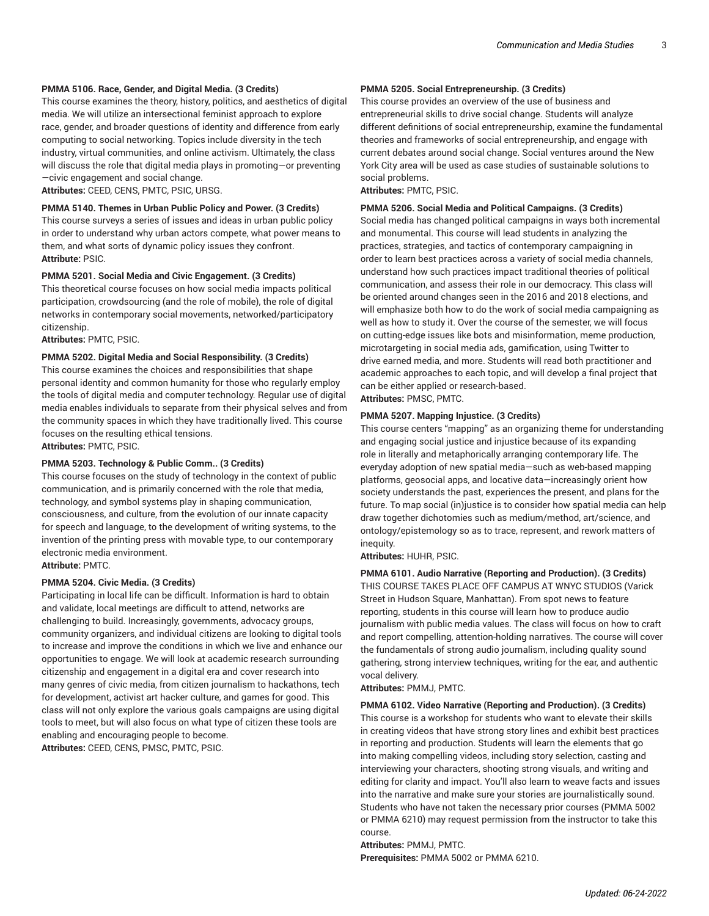# **PMMA 5106. Race, Gender, and Digital Media. (3 Credits)**

This course examines the theory, history, politics, and aesthetics of digital media. We will utilize an intersectional feminist approach to explore race, gender, and broader questions of identity and difference from early computing to social networking. Topics include diversity in the tech industry, virtual communities, and online activism. Ultimately, the class will discuss the role that digital media plays in promoting—or preventing —civic engagement and social change.

**Attributes:** CEED, CENS, PMTC, PSIC, URSG.

# **PMMA 5140. Themes in Urban Public Policy and Power. (3 Credits)**

This course surveys a series of issues and ideas in urban public policy in order to understand why urban actors compete, what power means to them, and what sorts of dynamic policy issues they confront. **Attribute:** PSIC.

# **PMMA 5201. Social Media and Civic Engagement. (3 Credits)**

This theoretical course focuses on how social media impacts political participation, crowdsourcing (and the role of mobile), the role of digital networks in contemporary social movements, networked/participatory citizenship.

**Attributes:** PMTC, PSIC.

# **PMMA 5202. Digital Media and Social Responsibility. (3 Credits)**

This course examines the choices and responsibilities that shape personal identity and common humanity for those who regularly employ the tools of digital media and computer technology. Regular use of digital media enables individuals to separate from their physical selves and from the community spaces in which they have traditionally lived. This course focuses on the resulting ethical tensions. **Attributes:** PMTC, PSIC.

# **PMMA 5203. Technology & Public Comm.. (3 Credits)**

This course focuses on the study of technology in the context of public communication, and is primarily concerned with the role that media, technology, and symbol systems play in shaping communication, consciousness, and culture, from the evolution of our innate capacity for speech and language, to the development of writing systems, to the invention of the printing press with movable type, to our contemporary electronic media environment.

# **Attribute:** PMTC.

# **PMMA 5204. Civic Media. (3 Credits)**

Participating in local life can be difficult. Information is hard to obtain and validate, local meetings are difficult to attend, networks are challenging to build. Increasingly, governments, advocacy groups, community organizers, and individual citizens are looking to digital tools to increase and improve the conditions in which we live and enhance our opportunities to engage. We will look at academic research surrounding citizenship and engagement in a digital era and cover research into many genres of civic media, from citizen journalism to hackathons, tech for development, activist art hacker culture, and games for good. This class will not only explore the various goals campaigns are using digital tools to meet, but will also focus on what type of citizen these tools are enabling and encouraging people to become. **Attributes:** CEED, CENS, PMSC, PMTC, PSIC.

# **PMMA 5205. Social Entrepreneurship. (3 Credits)**

This course provides an overview of the use of business and entrepreneurial skills to drive social change. Students will analyze different definitions of social entrepreneurship, examine the fundamental theories and frameworks of social entrepreneurship, and engage with current debates around social change. Social ventures around the New York City area will be used as case studies of sustainable solutions to social problems.

**Attributes:** PMTC, PSIC.

#### **PMMA 5206. Social Media and Political Campaigns. (3 Credits)**

Social media has changed political campaigns in ways both incremental and monumental. This course will lead students in analyzing the practices, strategies, and tactics of contemporary campaigning in order to learn best practices across a variety of social media channels, understand how such practices impact traditional theories of political communication, and assess their role in our democracy. This class will be oriented around changes seen in the 2016 and 2018 elections, and will emphasize both how to do the work of social media campaigning as well as how to study it. Over the course of the semester, we will focus on cutting-edge issues like bots and misinformation, meme production, microtargeting in social media ads, gamification, using Twitter to drive earned media, and more. Students will read both practitioner and academic approaches to each topic, and will develop a final project that can be either applied or research-based. **Attributes:** PMSC, PMTC.

#### **PMMA 5207. Mapping Injustice. (3 Credits)**

This course centers "mapping" as an organizing theme for understanding and engaging social justice and injustice because of its expanding role in literally and metaphorically arranging contemporary life. The everyday adoption of new spatial media—such as web-based mapping platforms, geosocial apps, and locative data—increasingly orient how society understands the past, experiences the present, and plans for the future. To map social (in)justice is to consider how spatial media can help draw together dichotomies such as medium/method, art/science, and ontology/epistemology so as to trace, represent, and rework matters of inequity.

**Attributes:** HUHR, PSIC.

### **PMMA 6101. Audio Narrative (Reporting and Production). (3 Credits)**

THIS COURSE TAKES PLACE OFF CAMPUS AT WNYC STUDIOS (Varick Street in Hudson Square, Manhattan). From spot news to feature reporting, students in this course will learn how to produce audio journalism with public media values. The class will focus on how to craft and report compelling, attention-holding narratives. The course will cover the fundamentals of strong audio journalism, including quality sound gathering, strong interview techniques, writing for the ear, and authentic vocal delivery.

**Attributes:** PMMJ, PMTC.

# **PMMA 6102. Video Narrative (Reporting and Production). (3 Credits)**

This course is a workshop for students who want to elevate their skills in creating videos that have strong story lines and exhibit best practices in reporting and production. Students will learn the elements that go into making compelling videos, including story selection, casting and interviewing your characters, shooting strong visuals, and writing and editing for clarity and impact. You'll also learn to weave facts and issues into the narrative and make sure your stories are journalistically sound. Students who have not taken the necessary prior courses (PMMA 5002 or PMMA 6210) may request permission from the instructor to take this course.

**Attributes:** PMMJ, PMTC. **Prerequisites:** PMMA 5002 or PMMA 6210.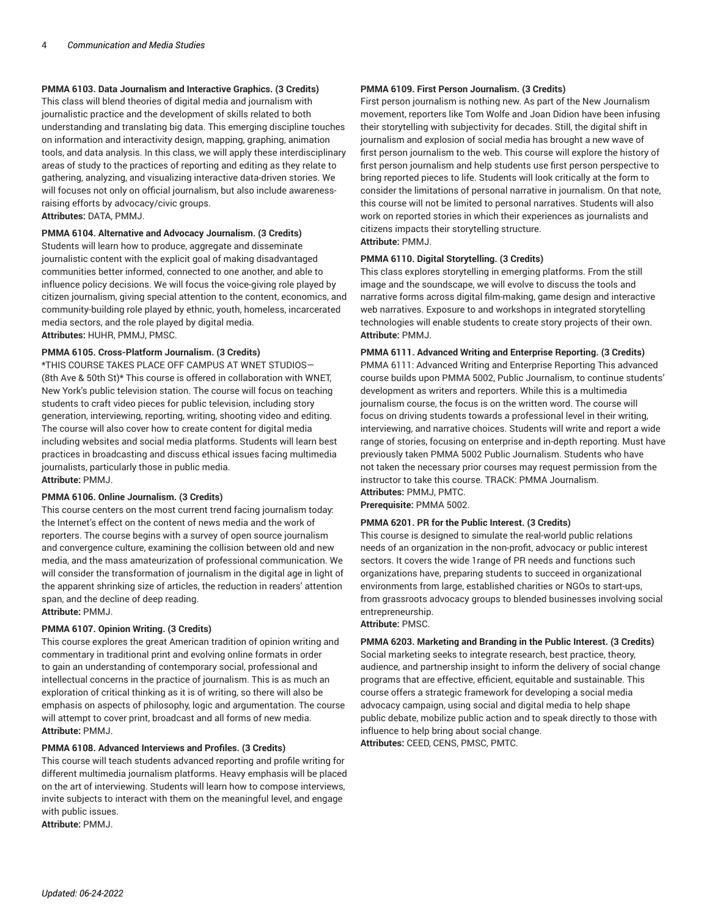# **PMMA 6103. Data Journalism and Interactive Graphics. (3 Credits)**

This class will blend theories of digital media and journalism with journalistic practice and the development of skills related to both understanding and translating big data. This emerging discipline touches on information and interactivity design, mapping, graphing, animation tools, and data analysis. In this class, we will apply these interdisciplinary areas of study to the practices of reporting and editing as they relate to gathering, analyzing, and visualizing interactive data-driven stories. We will focuses not only on official journalism, but also include awarenessraising efforts by advocacy/civic groups. **Attributes:** DATA, PMMJ.

# **PMMA 6104. Alternative and Advocacy Journalism. (3 Credits)**

Students will learn how to produce, aggregate and disseminate journalistic content with the explicit goal of making disadvantaged communities better informed, connected to one another, and able to influence policy decisions. We will focus the voice-giving role played by citizen journalism, giving special attention to the content, economics, and community-building role played by ethnic, youth, homeless, incarcerated media sectors, and the role played by digital media. **Attributes:** HUHR, PMMJ, PMSC.

# **PMMA 6105. Cross-Platform Journalism. (3 Credits)**

\*THIS COURSE TAKES PLACE OFF CAMPUS AT WNET STUDIOS— (8th Ave & 50th St)\* This course is offered in collaboration with WNET, New York's public television station. The course will focus on teaching students to craft video pieces for public television, including story generation, interviewing, reporting, writing, shooting video and editing. The course will also cover how to create content for digital media including websites and social media platforms. Students will learn best practices in broadcasting and discuss ethical issues facing multimedia journalists, particularly those in public media. **Attribute:** PMMJ.

# **PMMA 6106. Online Journalism. (3 Credits)**

This course centers on the most current trend facing journalism today: the Internet's effect on the content of news media and the work of reporters. The course begins with a survey of open source journalism and convergence culture, examining the collision between old and new media, and the mass amateurization of professional communication. We will consider the transformation of journalism in the digital age in light of the apparent shrinking size of articles, the reduction in readers' attention span, and the decline of deep reading. **Attribute:** PMMJ.

# **PMMA 6107. Opinion Writing. (3 Credits)**

This course explores the great American tradition of opinion writing and commentary in traditional print and evolving online formats in order to gain an understanding of contemporary social, professional and intellectual concerns in the practice of journalism. This is as much an exploration of critical thinking as it is of writing, so there will also be emphasis on aspects of philosophy, logic and argumentation. The course will attempt to cover print, broadcast and all forms of new media. **Attribute:** PMMJ.

# **PMMA 6108. Advanced Interviews and Profiles. (3 Credits)**

This course will teach students advanced reporting and profile writing for different multimedia journalism platforms. Heavy emphasis will be placed on the art of interviewing. Students will learn how to compose interviews, invite subjects to interact with them on the meaningful level, and engage with public issues.

**Attribute:** PMMJ.

# **PMMA 6109. First Person Journalism. (3 Credits)**

First person journalism is nothing new. As part of the New Journalism movement, reporters like Tom Wolfe and Joan Didion have been infusing their storytelling with subjectivity for decades. Still, the digital shift in journalism and explosion of social media has brought a new wave of first person journalism to the web. This course will explore the history of first person journalism and help students use first person perspective to bring reported pieces to life. Students will look critically at the form to consider the limitations of personal narrative in journalism. On that note, this course will not be limited to personal narratives. Students will also work on reported stories in which their experiences as journalists and citizens impacts their storytelling structure. **Attribute:** PMMJ.

# **PMMA 6110. Digital Storytelling. (3 Credits)**

This class explores storytelling in emerging platforms. From the still image and the soundscape, we will evolve to discuss the tools and narrative forms across digital film-making, game design and interactive web narratives. Exposure to and workshops in integrated storytelling technologies will enable students to create story projects of their own. **Attribute:** PMMJ.

# **PMMA 6111. Advanced Writing and Enterprise Reporting. (3 Credits)**

PMMA 6111: Advanced Writing and Enterprise Reporting This advanced course builds upon PMMA 5002, Public Journalism, to continue students' development as writers and reporters. While this is a multimedia journalism course, the focus is on the written word. The course will focus on driving students towards a professional level in their writing, interviewing, and narrative choices. Students will write and report a wide range of stories, focusing on enterprise and in-depth reporting. Must have previously taken PMMA 5002 Public Journalism. Students who have not taken the necessary prior courses may request permission from the instructor to take this course. TRACK: PMMA Journalism. **Attributes:** PMMJ, PMTC.

**Prerequisite:** PMMA 5002.

# **PMMA 6201. PR for the Public Interest. (3 Credits)**

This course is designed to simulate the real-world public relations needs of an organization in the non-profit, advocacy or public interest sectors. It covers the wide 1range of PR needs and functions such organizations have, preparing students to succeed in organizational environments from large, established charities or NGOs to start-ups, from grassroots advocacy groups to blended businesses involving social entrepreneurship.

**Attribute:** PMSC.

# **PMMA 6203. Marketing and Branding in the Public Interest. (3 Credits)**

Social marketing seeks to integrate research, best practice, theory, audience, and partnership insight to inform the delivery of social change programs that are effective, efficient, equitable and sustainable. This course offers a strategic framework for developing a social media advocacy campaign, using social and digital media to help shape public debate, mobilize public action and to speak directly to those with influence to help bring about social change. **Attributes:** CEED, CENS, PMSC, PMTC.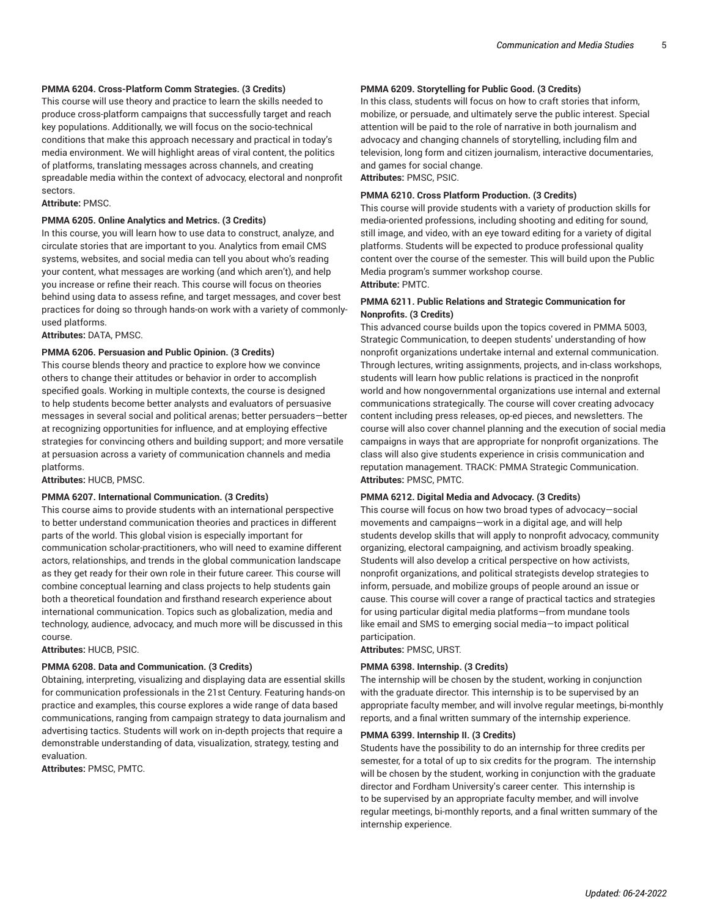# **PMMA 6204. Cross-Platform Comm Strategies. (3 Credits)**

This course will use theory and practice to learn the skills needed to produce cross-platform campaigns that successfully target and reach key populations. Additionally, we will focus on the socio-technical conditions that make this approach necessary and practical in today's media environment. We will highlight areas of viral content, the politics of platforms, translating messages across channels, and creating spreadable media within the context of advocacy, electoral and nonprofit sectors.

**Attribute:** PMSC.

# **PMMA 6205. Online Analytics and Metrics. (3 Credits)**

In this course, you will learn how to use data to construct, analyze, and circulate stories that are important to you. Analytics from email CMS systems, websites, and social media can tell you about who's reading your content, what messages are working (and which aren't), and help you increase or refine their reach. This course will focus on theories behind using data to assess refine, and target messages, and cover best practices for doing so through hands-on work with a variety of commonlyused platforms.

**Attributes:** DATA, PMSC.

## **PMMA 6206. Persuasion and Public Opinion. (3 Credits)**

This course blends theory and practice to explore how we convince others to change their attitudes or behavior in order to accomplish specified goals. Working in multiple contexts, the course is designed to help students become better analysts and evaluators of persuasive messages in several social and political arenas; better persuaders—better at recognizing opportunities for influence, and at employing effective strategies for convincing others and building support; and more versatile at persuasion across a variety of communication channels and media platforms.

**Attributes:** HUCB, PMSC.

#### **PMMA 6207. International Communication. (3 Credits)**

This course aims to provide students with an international perspective to better understand communication theories and practices in different parts of the world. This global vision is especially important for communication scholar-practitioners, who will need to examine different actors, relationships, and trends in the global communication landscape as they get ready for their own role in their future career. This course will combine conceptual learning and class projects to help students gain both a theoretical foundation and firsthand research experience about international communication. Topics such as globalization, media and technology, audience, advocacy, and much more will be discussed in this course.

**Attributes:** HUCB, PSIC.

#### **PMMA 6208. Data and Communication. (3 Credits)**

Obtaining, interpreting, visualizing and displaying data are essential skills for communication professionals in the 21st Century. Featuring hands-on practice and examples, this course explores a wide range of data based communications, ranging from campaign strategy to data journalism and advertising tactics. Students will work on in-depth projects that require a demonstrable understanding of data, visualization, strategy, testing and evaluation.

**Attributes:** PMSC, PMTC.

# **PMMA 6209. Storytelling for Public Good. (3 Credits)**

In this class, students will focus on how to craft stories that inform, mobilize, or persuade, and ultimately serve the public interest. Special attention will be paid to the role of narrative in both journalism and advocacy and changing channels of storytelling, including film and television, long form and citizen journalism, interactive documentaries, and games for social change.

**Attributes:** PMSC, PSIC.

# **PMMA 6210. Cross Platform Production. (3 Credits)**

This course will provide students with a variety of production skills for media-oriented professions, including shooting and editing for sound, still image, and video, with an eye toward editing for a variety of digital platforms. Students will be expected to produce professional quality content over the course of the semester. This will build upon the Public Media program's summer workshop course. **Attribute:** PMTC.

# **PMMA 6211. Public Relations and Strategic Communication for Nonprofits. (3 Credits)**

This advanced course builds upon the topics covered in PMMA 5003, Strategic Communication, to deepen students' understanding of how nonprofit organizations undertake internal and external communication. Through lectures, writing assignments, projects, and in-class workshops, students will learn how public relations is practiced in the nonprofit world and how nongovernmental organizations use internal and external communications strategically. The course will cover creating advocacy content including press releases, op-ed pieces, and newsletters. The course will also cover channel planning and the execution of social media campaigns in ways that are appropriate for nonprofit organizations. The class will also give students experience in crisis communication and reputation management. TRACK: PMMA Strategic Communication. **Attributes:** PMSC, PMTC.

#### **PMMA 6212. Digital Media and Advocacy. (3 Credits)**

This course will focus on how two broad types of advocacy—social movements and campaigns—work in a digital age, and will help students develop skills that will apply to nonprofit advocacy, community organizing, electoral campaigning, and activism broadly speaking. Students will also develop a critical perspective on how activists, nonprofit organizations, and political strategists develop strategies to inform, persuade, and mobilize groups of people around an issue or cause. This course will cover a range of practical tactics and strategies for using particular digital media platforms—from mundane tools like email and SMS to emerging social media—to impact political participation.

**Attributes:** PMSC, URST.

#### **PMMA 6398. Internship. (3 Credits)**

The internship will be chosen by the student, working in conjunction with the graduate director. This internship is to be supervised by an appropriate faculty member, and will involve regular meetings, bi-monthly reports, and a final written summary of the internship experience.

#### **PMMA 6399. Internship II. (3 Credits)**

Students have the possibility to do an internship for three credits per semester, for a total of up to six credits for the program. The internship will be chosen by the student, working in conjunction with the graduate director and Fordham University's career center. This internship is to be supervised by an appropriate faculty member, and will involve regular meetings, bi-monthly reports, and a final written summary of the internship experience.